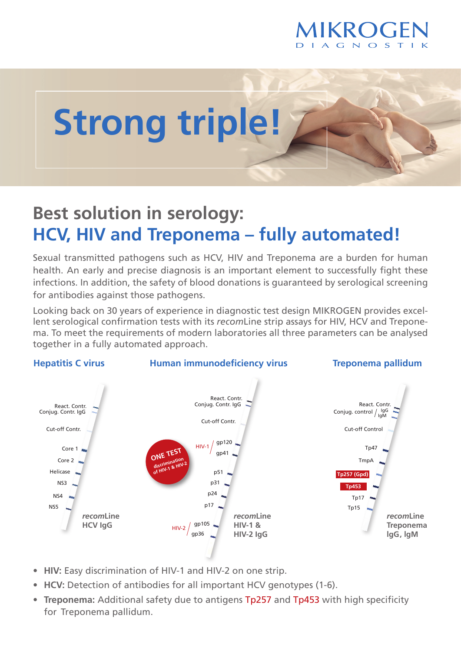

## **Strong triple!**

## **Best solution in serology: HCV, HIV and Treponema – fully automated!**

Sexual transmitted pathogens such as HCV, HIV and Treponema are a burden for human health. An early and precise diagnosis is an important element to successfully fight these infections. In addition, the safety of blood donations is guaranteed by serological screening for antibodies against those pathogens.

Looking back on 30 years of experience in diagnostic test design MIKROGEN provides excellent serological confirmation tests with its *recom*Line strip assays for HIV, HCV and Treponema. To meet the requirements of modern laboratories all three parameters can be analysed together in a fully automated approach.



- **HIV:** Easy discrimination of HIV-1 and HIV-2 on one strip.
- **HCV:** Detection of antibodies for all important HCV genotypes (1-6).
- **Treponema:** Additional safety due to antigens Tp257 and Tp453 with high specificity for Treponema pallidum.